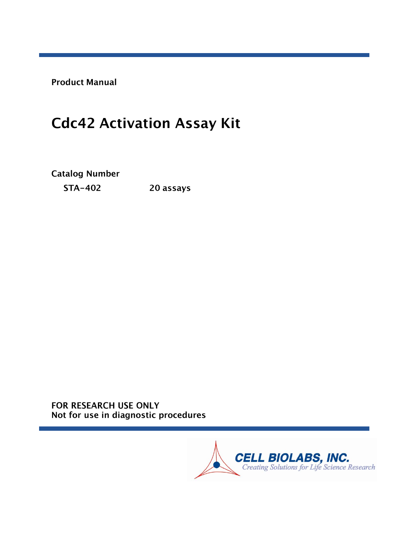**Product Manual** 

# **Cdc42 Activation Assay Kit**

**Catalog Number** 

**STA-402** 20 assays

FOR RESEARCH USE ONLY Not for use in diagnostic procedures

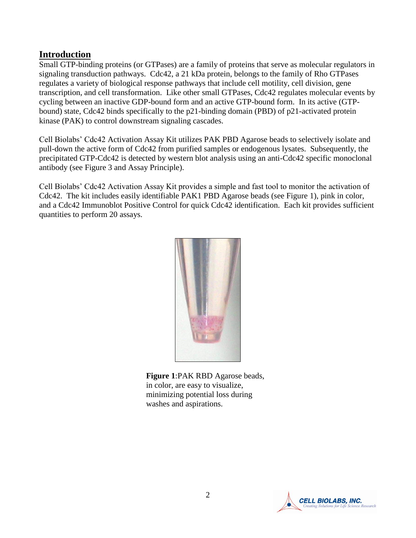## **Introduction**

Small GTP-binding proteins (or GTPases) are a family of proteins that serve as molecular regulators in signaling transduction pathways. Cdc42, a 21 kDa protein, belongs to the family of Rho GTPases regulates a variety of biological response pathways that include cell motility, cell division, gene transcription, and cell transformation. Like other small GTPases, Cdc42 regulates molecular events by cycling between an inactive GDP-bound form and an active GTP-bound form. In its active (GTPbound) state, Cdc42 binds specifically to the p21-binding domain (PBD) of p21-activated protein kinase (PAK) to control downstream signaling cascades.

Cell Biolabs' Cdc42 Activation Assay Kit utilizes PAK PBD Agarose beads to selectively isolate and pull-down the active form of Cdc42 from purified samples or endogenous lysates. Subsequently, the precipitated GTP-Cdc42 is detected by western blot analysis using an anti-Cdc42 specific monoclonal antibody (see Figure 3 and Assay Principle).

Cell Biolabs' Cdc42 Activation Assay Kit provides a simple and fast tool to monitor the activation of Cdc42. The kit includes easily identifiable PAK1 PBD Agarose beads (see Figure 1), pink in color, and a Cdc42 Immunoblot Positive Control for quick Cdc42 identification. Each kit provides sufficient quantities to perform 20 assays.



**Figure 1**:PAK RBD Agarose beads, in color, are easy to visualize, minimizing potential loss during washes and aspirations.

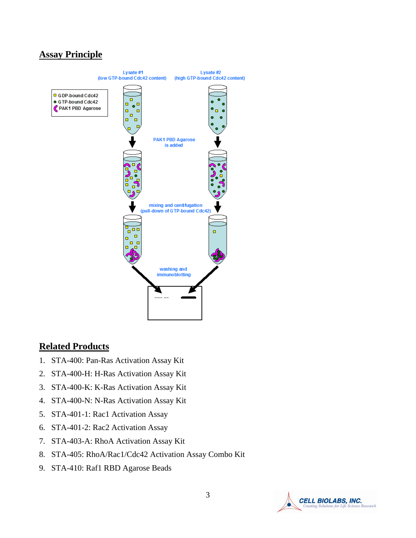## **Assay Principle**



#### **Related Products**

- 1. STA-400: Pan-Ras Activation Assay Kit
- 2. STA-400-H: H-Ras Activation Assay Kit
- 3. STA-400-K: K-Ras Activation Assay Kit
- 4. STA-400-N: N-Ras Activation Assay Kit
- 5. STA-401-1: Rac1 Activation Assay
- 6. STA-401-2: Rac2 Activation Assay
- 7. STA-403-A: RhoA Activation Assay Kit
- 8. STA-405: RhoA/Rac1/Cdc42 Activation Assay Combo Kit
- 9. STA-410: Raf1 RBD Agarose Beads

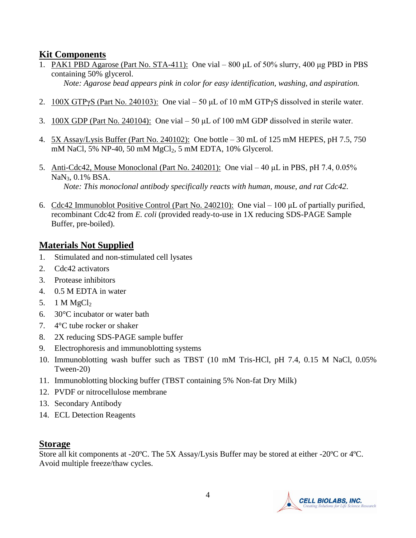## **Kit Components**

1. PAK1 PBD Agarose (Part No. STA-411): One vial – 800 μL of 50% slurry, 400 μg PBD in PBS containing 50% glycerol.

*Note: Agarose bead appears pink in color for easy identification, washing, and aspiration.*

- 2.  $100X GTPyS (Part No. 240103)$ : One vial 50 µL of 10 mM GTPyS dissolved in sterile water.
- 3. 100X GDP (Part No. 240104): One vial 50 μL of 100 mM GDP dissolved in sterile water.
- 4. 5X Assay/Lysis Buffer (Part No. 240102): One bottle 30 mL of 125 mM HEPES, pH 7.5, 750 mM NaCl, 5% NP-40, 50 mM MgCl<sub>2</sub>, 5 mM EDTA, 10% Glycerol.
- 5. Anti-Cdc42, Mouse Monoclonal (Part No. 240201): One vial 40 μL in PBS, pH 7.4, 0.05% NaN<sub>3</sub>, 0.1% BSA. *Note: This monoclonal antibody specifically reacts with human, mouse, and rat Cdc42.*
- 6. Cdc42 Immunoblot Positive Control (Part No. 240210): One vial 100 μL of partially purified, recombinant Cdc42 from *E. coli* (provided ready-to-use in 1X reducing SDS-PAGE Sample Buffer, pre-boiled).

## **Materials Not Supplied**

- 1. Stimulated and non-stimulated cell lysates
- 2. Cdc42 activators
- 3. Protease inhibitors
- 4. 0.5 M EDTA in water
- 5. 1 M  $MgCl<sub>2</sub>$
- 6. 30°C incubator or water bath
- 7. 4°C tube rocker or shaker
- 8. 2X reducing SDS-PAGE sample buffer
- 9. Electrophoresis and immunoblotting systems
- 10. Immunoblotting wash buffer such as TBST (10 mM Tris-HCl, pH 7.4, 0.15 M NaCl, 0.05% Tween-20)
- 11. Immunoblotting blocking buffer (TBST containing 5% Non-fat Dry Milk)
- 12. PVDF or nitrocellulose membrane
- 13. Secondary Antibody
- 14. ECL Detection Reagents

#### **Storage**

Store all kit components at -20ºC. The 5X Assay/Lysis Buffer may be stored at either -20ºC or 4ºC. Avoid multiple freeze/thaw cycles.

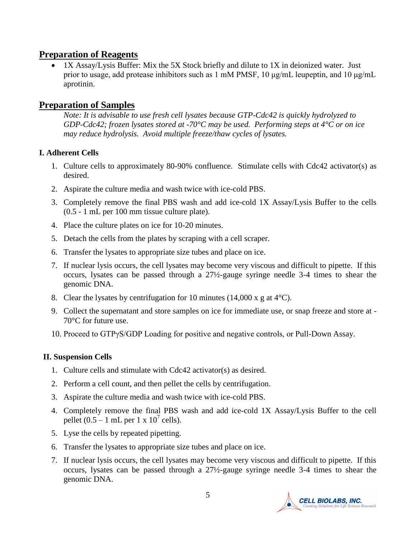#### **Preparation of Reagents**

 1X Assay/Lysis Buffer: Mix the 5X Stock briefly and dilute to 1X in deionized water. Just prior to usage, add protease inhibitors such as 1 mM PMSF, 10 μg/mL leupeptin, and 10 μg/mL aprotinin.

#### **Preparation of Samples**

*Note: It is advisable to use fresh cell lysates because GTP-Cdc42 is quickly hydrolyzed to GDP-Cdc42; frozen lysates stored at -70°C may be used. Performing steps at 4°C or on ice may reduce hydrolysis. Avoid multiple freeze/thaw cycles of lysates.* 

#### **I. Adherent Cells**

- 1. Culture cells to approximately 80-90% confluence. Stimulate cells with Cdc42 activator(s) as desired.
- 2. Aspirate the culture media and wash twice with ice-cold PBS.
- 3. Completely remove the final PBS wash and add ice-cold 1X Assay/Lysis Buffer to the cells (0.5 - 1 mL per 100 mm tissue culture plate).
- 4. Place the culture plates on ice for 10-20 minutes.
- 5. Detach the cells from the plates by scraping with a cell scraper.
- 6. Transfer the lysates to appropriate size tubes and place on ice.
- 7. If nuclear lysis occurs, the cell lysates may become very viscous and difficult to pipette. If this occurs, lysates can be passed through a 27½-gauge syringe needle 3-4 times to shear the genomic DNA.
- 8. Clear the lysates by centrifugation for 10 minutes  $(14,000 \times g)$  at 4<sup>o</sup>C).
- 9. Collect the supernatant and store samples on ice for immediate use, or snap freeze and store at 70°C for future use.
- 10. Proceed to GTPγS/GDP Loading for positive and negative controls, or Pull-Down Assay.

#### **II. Suspension Cells**

- 1. Culture cells and stimulate with Cdc42 activator(s) as desired.
- 2. Perform a cell count, and then pellet the cells by centrifugation.
- 3. Aspirate the culture media and wash twice with ice-cold PBS.
- 4. Completely remove the final PBS wash and add ice-cold 1X Assay/Lysis Buffer to the cell pellet  $(0.5 - 1$  mL per 1 x  $10^7$  cells).
- 5. Lyse the cells by repeated pipetting.
- 6. Transfer the lysates to appropriate size tubes and place on ice.
- 7. If nuclear lysis occurs, the cell lysates may become very viscous and difficult to pipette. If this occurs, lysates can be passed through a 27½-gauge syringe needle 3-4 times to shear the genomic DNA.

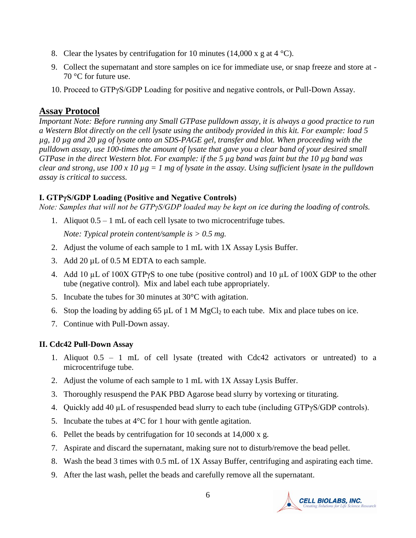- 8. Clear the lysates by centrifugation for 10 minutes (14,000 x g at 4  $^{\circ}$ C).
- 9. Collect the supernatant and store samples on ice for immediate use, or snap freeze and store at 70 °C for future use.
- 10. Proceed to GTPγS/GDP Loading for positive and negative controls, or Pull-Down Assay.

#### **Assay Protocol**

*Important Note: Before running any Small GTPase pulldown assay, it is always a good practice to run a Western Blot directly on the cell lysate using the antibody provided in this kit. For example: load 5 µg, 10 µg and 20 µg of lysate onto an SDS-PAGE gel, transfer and blot. When proceeding with the pulldown assay, use 100-times the amount of lysate that gave you a clear band of your desired small GTPase in the direct Western blot. For example: if the 5 µg band was faint but the 10 µg band was clear and strong, use 100 x 10 µg = 1 mg of lysate in the assay. Using sufficient lysate in the pulldown assay is critical to success.*

#### **I. GTPγS/GDP Loading (Positive and Negative Controls)**

*Note: Samples that will not be GTPγS/GDP loaded may be kept on ice during the loading of controls.*

1. Aliquot 0.5 – 1 mL of each cell lysate to two microcentrifuge tubes.

*Note: Typical protein content/sample is > 0.5 mg.* 

- 2. Adjust the volume of each sample to 1 mL with 1X Assay Lysis Buffer.
- 3. Add 20  $\mu$ L of 0.5 M EDTA to each sample.
- 4. Add 10 µL of 100X GTPγS to one tube (positive control) and 10 µL of 100X GDP to the other tube (negative control). Mix and label each tube appropriately.
- 5. Incubate the tubes for 30 minutes at 30°C with agitation.
- 6. Stop the loading by adding 65  $\mu$ L of 1 M MgCl<sub>2</sub> to each tube. Mix and place tubes on ice.
- 7. Continue with Pull-Down assay.

#### **II. Cdc42 Pull-Down Assay**

- 1. Aliquot 0.5 1 mL of cell lysate (treated with Cdc42 activators or untreated) to a microcentrifuge tube.
- 2. Adjust the volume of each sample to 1 mL with 1X Assay Lysis Buffer.
- 3. Thoroughly resuspend the PAK PBD Agarose bead slurry by vortexing or titurating.
- 4. Quickly add 40  $\mu$ L of resuspended bead slurry to each tube (including GTP $\gamma$ S/GDP controls).
- 5. Incubate the tubes at  $4^{\circ}$ C for 1 hour with gentle agitation.
- 6. Pellet the beads by centrifugation for 10 seconds at 14,000 x g.
- 7. Aspirate and discard the supernatant, making sure not to disturb/remove the bead pellet.
- 8. Wash the bead 3 times with 0.5 mL of 1X Assay Buffer, centrifuging and aspirating each time.
- 9. After the last wash, pellet the beads and carefully remove all the supernatant.

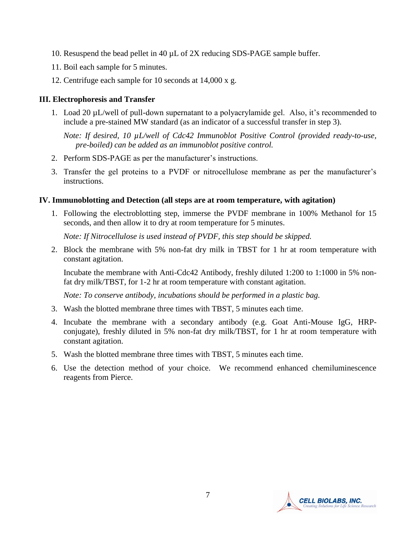- 10. Resuspend the bead pellet in 40 µL of 2X reducing SDS-PAGE sample buffer.
- 11. Boil each sample for 5 minutes.
- 12. Centrifuge each sample for 10 seconds at 14,000 x g.

#### **III. Electrophoresis and Transfer**

1. Load 20 µL/well of pull-down supernatant to a polyacrylamide gel. Also, it's recommended to include a pre-stained MW standard (as an indicator of a successful transfer in step 3).

*Note: If desired, 10 µL/well of Cdc42 Immunoblot Positive Control (provided ready-to-use, pre-boiled) can be added as an immunoblot positive control.* 

- 2. Perform SDS-PAGE as per the manufacturer's instructions.
- 3. Transfer the gel proteins to a PVDF or nitrocellulose membrane as per the manufacturer's instructions.

#### **IV. Immunoblotting and Detection (all steps are at room temperature, with agitation)**

1. Following the electroblotting step, immerse the PVDF membrane in 100% Methanol for 15 seconds, and then allow it to dry at room temperature for 5 minutes.

*Note: If Nitrocellulose is used instead of PVDF, this step should be skipped.*

2. Block the membrane with 5% non-fat dry milk in TBST for 1 hr at room temperature with constant agitation.

Incubate the membrane with Anti-Cdc42 Antibody, freshly diluted 1:200 to 1:1000 in 5% nonfat dry milk/TBST, for 1-2 hr at room temperature with constant agitation.

*Note: To conserve antibody, incubations should be performed in a plastic bag.*

- 3. Wash the blotted membrane three times with TBST, 5 minutes each time.
- 4. Incubate the membrane with a secondary antibody (e.g. Goat Anti-Mouse IgG, HRPconjugate), freshly diluted in 5% non-fat dry milk/TBST, for 1 hr at room temperature with constant agitation.
- 5. Wash the blotted membrane three times with TBST, 5 minutes each time.
- 6. Use the detection method of your choice. We recommend enhanced chemiluminescence reagents from Pierce.

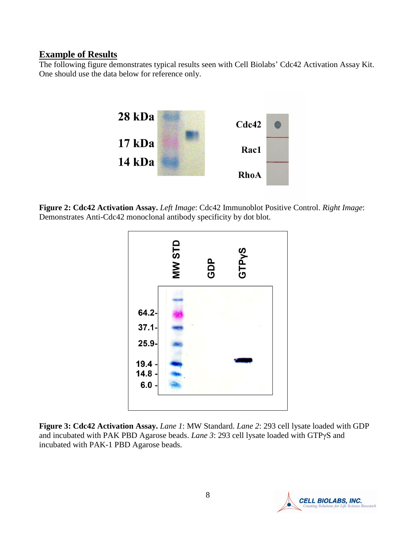#### **Example of Results**

The following figure demonstrates typical results seen with Cell Biolabs' Cdc42 Activation Assay Kit. One should use the data below for reference only.



**Figure 2: Cdc42 Activation Assay.** *Left Image*: Cdc42 Immunoblot Positive Control. *Right Image*: Demonstrates Anti-Cdc42 monoclonal antibody specificity by dot blot.



**Figure 3: Cdc42 Activation Assay.** *Lane 1*: MW Standard. *Lane 2*: 293 cell lysate loaded with GDP and incubated with PAK PBD Agarose beads. *Lane 3*: 293 cell lysate loaded with GTPγS and incubated with PAK-1 PBD Agarose beads.

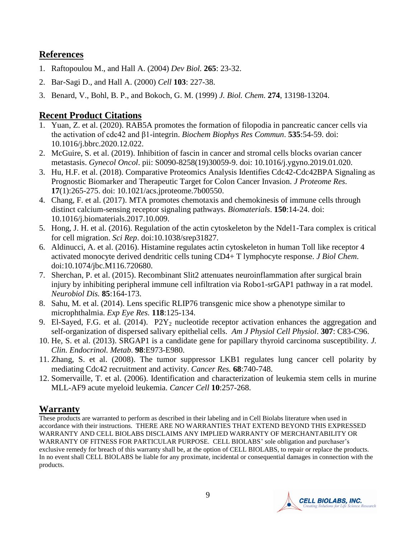## **References**

- 1. [Raftopoulou M.](http://www.ncbi.nlm.nih.gov/entrez/query.fcgi?db=pubmed&cmd=Search&term=%22Raftopoulou+M%22%5BAuthor%5D), and [Hall A.](http://www.ncbi.nlm.nih.gov/entrez/query.fcgi?db=pubmed&cmd=Search&term=%22Hall+A%22%5BAuthor%5D) (2004) *Dev Biol.* **265**: 23-32.
- 2. [Bar-Sagi D.](http://www.ncbi.nlm.nih.gov/entrez/query.fcgi?db=pubmed&cmd=Search&term=%22Bar%2DSagi+D%22%5BAuthor%5D), and [Hall A.](http://www.ncbi.nlm.nih.gov/entrez/query.fcgi?db=pubmed&cmd=Search&term=%22Hall+A%22%5BAuthor%5D) (2000) *Cell* **103**: 227-38.
- 3. Benard, V., Bohl, B. P., and Bokoch, G. M. (1999) *J. Biol. Chem.* **274**, 13198-13204.

# **Recent Product Citations**

- 1. Yuan, Z. et al. (2020). RAB5A promotes the formation of filopodia in pancreatic cancer cells via the activation of cdc42 and β1-integrin. *Biochem Biophys Res Commun*. **535**:54-59. doi: 10.1016/j.bbrc.2020.12.022.
- 2. McGuire, S. et al. (2019). Inhibition of fascin in cancer and stromal cells blocks ovarian cancer metastasis. *Gynecol Oncol*. pii: S0090-8258(19)30059-9. doi: 10.1016/j.ygyno.2019.01.020.
- 3. Hu, H.F. et al. (2018). Comparative Proteomics Analysis Identifies Cdc42-Cdc42BPA Signaling as Prognostic Biomarker and Therapeutic Target for Colon Cancer Invasion. *J Proteome Res*. **17**(1):265-275. doi: 10.1021/acs.jproteome.7b00550.
- 4. Chang, F. et al. (2017). MTA promotes chemotaxis and chemokinesis of immune cells through distinct calcium-sensing receptor signaling pathways. *Biomaterials*. **150**:14-24. doi: 10.1016/j.biomaterials.2017.10.009.
- 5. Hong, J. H. et al. (2016). Regulation of the actin cytoskeleton by the Ndel1-Tara complex is critical for cell migration. *Sci Rep*. doi:10.1038/srep31827.
- 6. Aldinucci, A. et al. (2016). Histamine regulates actin cytoskeleton in human Toll like receptor 4 activated monocyte derived dendritic cells tuning CD4+ T lymphocyte response. *J Biol Chem*. doi:10.1074/jbc.M116.720680.
- 7. Sherchan, P. et al. (2015). Recombinant Slit2 attenuates neuroinflammation after surgical brain injury by inhibiting peripheral immune cell infiltration via Robo1-srGAP1 pathway in a rat model. *Neurobiol Dis.* **85**:164-173.
- 8. Sahu, M. et al. (2014). Lens specific RLIP76 transgenic mice show a phenotype similar to microphthalmia. *Exp Eye Res.* **118**:125-134.
- 9. El-Sayed, F.G. et al. (2014).  $P2Y_2$  nucleotide receptor activation enhances the aggregation and self-organization of dispersed salivary epithelial cells. *Am J Physiol Cell Physiol*. **307**: C83-C96.
- 10. He, S. et al. (2013). SRGAP1 is a candidate gene for papillary thyroid carcinoma susceptibility. *J. Clin. Endocrinol. Metab*. **98**:E973-E980.
- 11. Zhang, S. et al. (2008). The tumor suppressor LKB1 regulates lung cancer cell polarity by mediating Cdc42 recruitment and activity. *Cancer Res.* **68**:740-748.
- 12. Somervaille, T. et al. (2006). Identification and characterization of leukemia stem cells in murine MLL-AF9 acute myeloid leukemia. *Cancer Cell* **10**:257-268.

## **Warranty**

These products are warranted to perform as described in their labeling and in Cell Biolabs literature when used in accordance with their instructions. THERE ARE NO WARRANTIES THAT EXTEND BEYOND THIS EXPRESSED WARRANTY AND CELL BIOLABS DISCLAIMS ANY IMPLIED WARRANTY OF MERCHANTABILITY OR WARRANTY OF FITNESS FOR PARTICULAR PURPOSE. CELL BIOLABS' sole obligation and purchaser's exclusive remedy for breach of this warranty shall be, at the option of CELL BIOLABS, to repair or replace the products. In no event shall CELL BIOLABS be liable for any proximate, incidental or consequential damages in connection with the products.